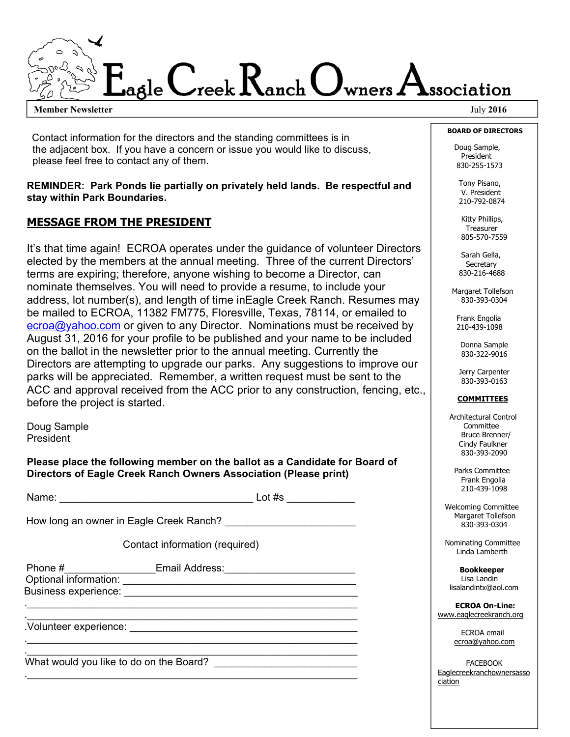## agle  $C$ reek  $R$ anch  $O$ wners  $A$ ssociation

**Member Newsletter** July 2016

 Contact information for the directors and the standing committees is in the adjacent box. If you have a concern or issue you would like to discuss, please feel free to contact any of them.

**REMINDER: Park Ponds lie partially on privately held lands. Be respectful and stay within Park Boundaries.** 

## **MESSAGE FROM THE PRESIDENT**

It's that time again! ECROA operates under the guidance of volunteer Directors elected by the members at the annual meeting. Three of the current Directors' terms are expiring; therefore, anyone wishing to become a Director, can nominate themselves. You will need to provide a resume, to include your address, lot number(s), and length of time inEagle Creek Ranch. Resumes may be mailed to ECROA, 11382 FM775, Floresville, Texas, 78114, or emailed to ecroa@yahoo.com or given to any Director. Nominations must be received by August 31, 2016 for your profile to be published and your name to be included on the ballot in the newsletter prior to the annual meeting. Currently the Directors are attempting to upgrade our parks. Any suggestions to improve our parks will be appreciated. Remember, a written request must be sent to the ACC and approval received from the ACC prior to any construction, fencing, etc., before the project is started.

Doug Sample President

**Please place the following member on the ballot as a Candidate for Board of Directors of Eagle Creek Ranch Owners Association (Please print)** 

|  |  | Name: |
|--|--|-------|
|--|--|-------|

 $\blacksquare$   $\blacksquare$   $\blacksquare$   $\blacksquare$   $\blacksquare$   $\blacksquare$   $\blacksquare$   $\blacksquare$   $\blacksquare$   $\blacksquare$   $\blacksquare$   $\blacksquare$   $\blacksquare$   $\blacksquare$   $\blacksquare$   $\blacksquare$   $\blacksquare$   $\blacksquare$   $\blacksquare$   $\blacksquare$   $\blacksquare$   $\blacksquare$   $\blacksquare$   $\blacksquare$   $\blacksquare$   $\blacksquare$   $\blacksquare$   $\blacksquare$   $\blacksquare$   $\blacksquare$   $\blacksquare$   $\blacks$ 

How long an owner in Eagle Creek Ranch?

Contact information (required)

. The contribution of the contribution of  $\mathcal{L}_\mathcal{L}$  , we can also the contribution of  $\mathcal{L}_\mathcal{L}$ 

. The contribution of the contribution of  $\mathcal{L}_\mathcal{L}$  , we can also the contribution of  $\mathcal{L}_\mathcal{L}$ 

Phone #\_\_\_\_\_\_\_\_\_\_\_\_\_\_\_\_Email Address:\_\_\_\_\_\_\_\_\_\_\_\_\_\_\_\_\_\_\_\_\_\_\_ Optional information: \_\_\_\_\_\_\_\_\_\_\_\_\_\_\_\_\_\_\_\_\_\_\_\_\_\_\_\_\_\_\_\_\_\_\_\_\_\_\_\_\_

Business experience: **Example 2018** . The contribution of the contribution of  $\mathcal{L}_\mathcal{L}$  , we can also the contribution of  $\mathcal{L}_\mathcal{L}$ 

. The contribution of the contribution of  $\mathcal{L}_\mathcal{L}$  , we can also the contribution of  $\mathcal{L}_\mathcal{L}$ .Volunteer experience: \_\_\_\_\_\_\_\_\_\_\_\_\_\_\_\_\_\_\_\_\_\_\_\_\_\_\_\_\_\_\_\_\_\_\_\_\_\_\_\_

What would you like to do on the Board? \_\_\_\_\_\_\_\_\_\_\_\_\_\_\_\_\_\_\_\_\_\_\_\_\_

 **BOARD OF DIRECTORS** 

 Doug Sample, President 830-255-1573

 Tony Pisano, V. President 210-792-0874

 Kitty Phillips, Treasurer 805-570-7559

 Sarah Gella, Secretary 830-216-4688

 Margaret Tollefson 830-393-0304

 Frank Engolia 210-439-1098

Donna Sample 830-322-9016

Jerry Carpenter 830-393-0163

## **COMMITTEES**

 Architectural Control Committee Bruce Brenner/ Cindy Faulkner 830-393-2090

 Parks Committee Frank Engolia 210-439-1098

 Welcoming Committee Margaret Tollefson 830-393-0304

 Nominating Committee Linda Lamberth

 **Bookkeeper**  Lisa Landin lisalandintx@aol.com

 **ECROA On-Line:**  www.eaglecreekranch.org

> ECROA email ecroa@yahoo.com

FACEBOOK Eaglecreekranchownersasso ciation